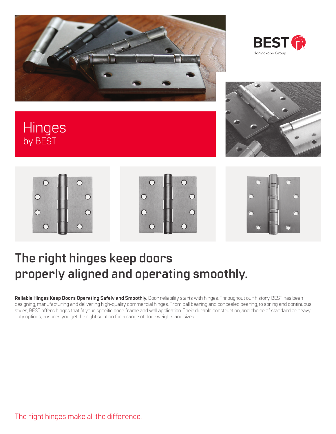



## **Hinges** by BEST









## **The right hinges keep doors properly aligned and operating smoothly.**

**Reliable Hinges Keep Doors Operating Safely and Smoothly.** Door reliability starts with hinges. Throughout our history, BEST has been designing, manufacturing and delivering high-quality commercial hinges. From ball bearing and concealed bearing, to spring and continuous styles, BEST offers hinges that fit your specific door, frame and wall application. Their durable construction, and choice of standard or heavyduty options, ensures you get the right solution for a range of door weights and sizes.

The right hinges make all the difference.